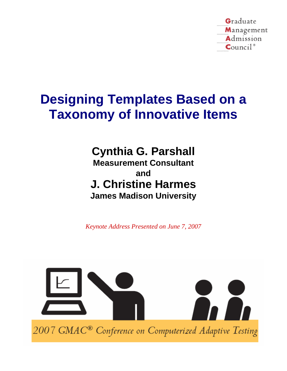Graduate Management Admission  $Count^*$ 

# **Designing Templates Based on a Taxonomy of Innovative Items**

**Cynthia G. Parshall Measurement Consultant and J. Christine Harmes James Madison University** 

*Keynote Address Presented on June 7, 2007* 

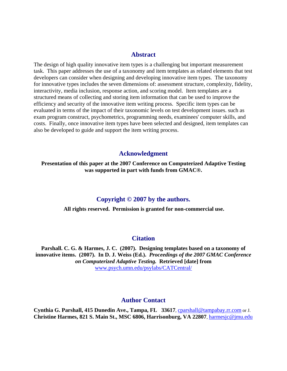# **Abstract**

The design of high quality innovative item types is a challenging but important measurement task. This paper addresses the use of a taxonomy and item templates as related elements that test developers can consider when designing and developing innovative item types. The taxonomy for innovative types includes the seven dimensions of: assessment structure, complexity, fidelity, interactivity, media inclusion, response action, and scoring model. Item templates are a structured means of collecting and storing item information that can be used to improve the efficiency and security of the innovative item writing process. Specific item types can be evaluated in terms of the impact of their taxonomic levels on test development issues. such as exam program construct, psychometrics, programming needs, examinees' computer skills, and costs. Finally, once innovative item types have been selected and designed, item templates can also be developed to guide and support the item writing process.

# **Acknowledgment**

# **Presentation of this paper at the 2007 Conference on Computerized Adaptive Testing was supported in part with funds from GMAC®.**

# **Copyright © 2007 by the authors.**

**All rights reserved. Permission is granted for non-commercial use.** 

# **Citation**

**Parshall. C. G. & Harmes, J. C. (2007). Designing templates based on a taxonomy of innovative items. (2007). In D. J. Weiss (Ed.).** *Proceedings of the 2007 GMAC Conference on Computerized Adaptive Testing.* **Retrieved [da[te](http://www.psych.umn.edu/psylabs/CATCentral/)] from**  [www.psych.umn.edu/psylabs/CATCentral/](http://www.psych.umn.edu/psylabs/CATCentral/)

# **Author Contact**

**Cynthia G. Parshall, 415 Dunedin Ave., Tampa, FL 33617**, [cparshall@tampabay.rr.com](mailto:cparshall@tampabay.rr.com) or J. **Christine Harmes, 821 S. Main St., MSC 6806, Harrisonburg, VA 22807**, [harmesjc@jmu.edu](mailto:harmesjc@jmu.edu)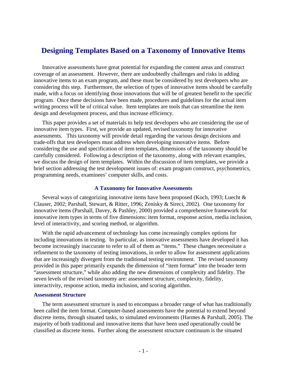# **Designing Templates Based on a Taxonomy of Innovative Items**

Innovative assessments have great potential for expanding the content areas and construct coverage of an assessment. However, there are undoubtedly challenges and risks in adding innovative items to an exam program, and these must be considered by test developers who are considering this step. Furthermore, the selection of types of innovative items should be carefully made, with a focus on identifying those innovations that will be of greatest benefit to the specific program. Once these decisions have been made, procedures and guidelines for the actual item writing process will be of critical value. Item templates are tools that can streamline the item design and development process, and thus increase efficiency.

This paper provides a set of materials to help test developers who are considering the use of innovative item types. First, we provide an updated, revised taxonomy for innovative assessments. This taxonomy will provide detail regarding the various design decisions and trade-offs that test developers must address when developing innovative items. Before considering the use and specification of item templates, dimensions of the taxonomy should be carefully considered. Following a description of the taxonomy, along with relevant examples, we discuss the design of item templates. Within the discussion of item templates, we provide a brief section addressing the test development issues of: exam program construct, psychometrics, programming needs, examinees' computer skills, and costs.

#### **A Taxonomy for Innovative Assessments**

Several ways of categorizing innovative items have been proposed (Koch, 1993; Luecht & Clauser, 2002; Parshall, Stewart, & Ritter, 1996; Zenisky & Sireci, 2002). One taxonomy for innovative items (Parshall, Davey, & Pashley, 2000) provided a comprehensive framework for innovative item types in terms of five dimensions: item format, response action, media inclusion, level of interactivity, and scoring method, or algorithm.

With the rapid advancement of technology has come increasingly complex options for including innovations in testing. In particular, as innovative assessments have developed it has become increasingly inaccurate to refer to all of them as "items." These changes necessitate a refinement to the taxonomy of testing innovations, in order to allow for assessment applications that are increasingly divergent from the traditional testing environment. The revised taxonomy provided in this paper primarily expands the dimension of "item format" into the broader term "assessment structure," while also adding the new dimensions of complexity and fidelity. The seven levels of the revised taxonomy are: assessment structure, complexity, fidelity, interactivity, response action, media inclusion, and scoring algorithm.

#### **Assessment Structure**

The term assessment structure is used to encompass a broader range of what has traditionally been called the item format. Computer-based assessments have the potential to extend beyond discrete items, through situated tasks, to simulated environments (Harmes & Parshall, 2005). The majority of both traditional and innovative items that have been used operationally could be classified as discrete items. Further along the assessment structure continuum is the situated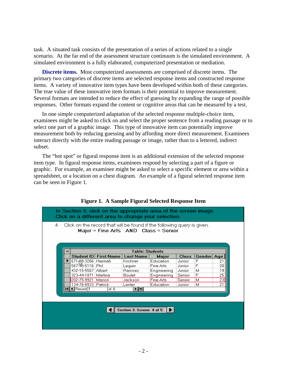task. A situated task consists of the presentation of a series of actions related to a single scenario. At the far end of the assessment structure continuum is the simulated environment. A simulated environment is a fully elaborated, computerized presentation or mediation.

**Discrete items.** Most computerized assessments are comprised of discrete items. The primary two categories of discrete items are selected response items and constructed response items. A variety of innovative item types have been developed within both of these categories. The true value of these innovative item formats is their potential to improve measurement. Several formats are intended to reduce the effect of guessing by expanding the range of possible responses. Other formats expand the content or cognitive areas that can be measured by a test.

In one simple computerized adaptation of the selected response multiple-choice item, examinees might be asked to click on and select the proper sentence from a reading passage or to select one part of a graphic image. This type of innovative item can potentially improve measurement both by reducing guessing and by affording more direct measurement. Examinees interact directly with the entire reading passage or image, rather than to a lettered, indirect subset.

The "hot spot" or figural response item is an additional extension of the selected response item type. In figural response items, examinees respond by selecting a part of a figure or graphic. For example, an examinee might be asked to select a specific element or area within a spreadsheet, or a location on a chest diagram. An example of a figural selected response item can be seen in Figure 1.



# **Figure 1. A Sample Figural Selected Response Item**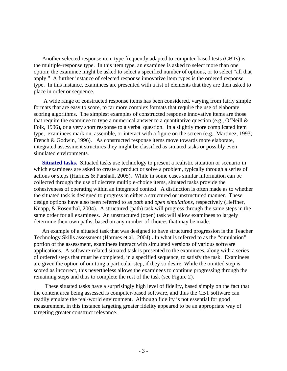Another selected response item type frequently adapted to computer-based tests (CBTs) is the multiple-response type. In this item type, an examinee is asked to select more than one option; the examinee might be asked to select a specified number of options, or to select "all that apply." A further instance of selected response innovative item types is the ordered response type. In this instance, examinees are presented with a list of elements that they are then asked to place in order or sequence.

 A wide range of constructed response items has been considered, varying from fairly simple formats that are easy to score, to far more complex formats that require the use of elaborate scoring algorithms. The simplest examples of constructed response innovative items are those that require the examinee to type a numerical answer to a quantitative question (e.g., O'Neill  $\&$ Folk, 1996), or a very short response to a verbal question. In a slightly more complicated item type, examinees mark on, assemble, or interact with a figure on the screen (e.g., Martinez, 1993; French & Godwin, 1996). As constructed response items move towards more elaborate, integrated assessment structures they might be classified as situated tasks or possibly even simulated environments.

**Situated tasks.** Situated tasks use technology to present a realistic situation or scenario in which examinees are asked to create a product or solve a problem, typically through a series of actions or steps (Harmes & Parshall, 2005). While in some cases similar information can be collected through the use of discrete multiple-choice items, situated tasks provide the cohesiveness of operating within an integrated context. A distinction is often made as to whether the situated task is designed to progress in either a structured or unstructured manner. These design options have also been referred to as *path* and *open simulations*, respectively (Heffner, Knapp, & Rosenthal, 2004). A structured (path) task will progress through the same steps in the same order for all examinees. An unstructured (open) task will allow examinees to largely determine their own paths, based on any number of choices that may be made.

An example of a situated task that was designed to have structured progression is the Teacher Technology Skills assessment (Harmes et al., 2004) *.* In what is referred to as the "simulation" portion of the assessment, examinees interact with simulated versions of various software applications. A software-related situated task is presented to the examinees, along with a series of ordered steps that must be completed, in a specified sequence, to satisfy the task. Examinees are given the option of omitting a particular step, if they so desire. While the omitted step is scored as incorrect, this nevertheless allows the examinees to continue progressing through the remaining steps and thus to complete the rest of the task (see Figure 2).

 These situated tasks have a surprisingly high level of fidelity, based simply on the fact that the content area being assessed is computer-based software, and thus the CBT software can readily emulate the real-world environment. Although fidelity is not essential for good measurement, in this instance targeting greater fidelity appeared to be an appropriate way of targeting greater construct relevance.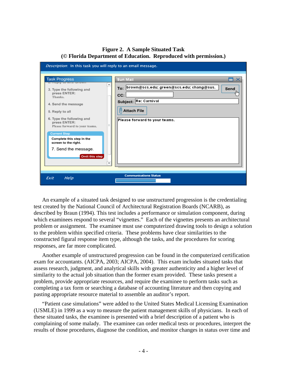# **Figure 2. A Sample Situated Task (© Florida Department of Education. Reproduced with permission.)**

| Description: In this task you will reply to an email message.                                                                                                                                                                                                                                                                                                                       |                                                                                                                                                                       |
|-------------------------------------------------------------------------------------------------------------------------------------------------------------------------------------------------------------------------------------------------------------------------------------------------------------------------------------------------------------------------------------|-----------------------------------------------------------------------------------------------------------------------------------------------------------------------|
| <b>Task Progress</b><br><b>M. INSPIRITY IN THE STORIE</b><br>$\blacktriangle$<br>3. Type the following and<br>press ENTER:<br>Thanks.<br>4. Send the message<br>5. Reply to all<br>6. Type the following and<br>press ENTER:<br>Please forward to your teams.<br><b>Current Step</b><br>Complete this step in the<br>screen to the right.<br>7. Send the message.<br>Omit this step | <b>Sun Mail</b><br>To: brown@scs.edu; green@scs.edu; chang@sus.<br>Send<br>lh.<br>CC:<br>Subject: Re: Carnival<br><b>Attach File</b><br>Please forward to your teams. |
| Exit<br>Help                                                                                                                                                                                                                                                                                                                                                                        | <b>Communications Status</b>                                                                                                                                          |

An example of a situated task designed to use unstructured progression is the credentialing test created by the National Council of Architectural Registration Boards (NCARB), as described by Braun (1994). This test includes a performance or simulation component, during which examinees respond to several "vignettes." Each of the vignettes presents an architectural problem or assignment. The examinee must use computerized drawing tools to design a solution to the problem within specified criteria. These problems have clear similarities to the constructed figural response item type, although the tasks, and the procedures for scoring responses, are far more complicated.

Another example of unstructured progression can be found in the computerized certification exam for accountants. (AICPA, 2003; AICPA, 2004). This exam includes situated tasks that assess research, judgment, and analytical skills with greater authenticity and a higher level of similarity to the actual job situation than the former exam provided. These tasks present a problem, provide appropriate resources, and require the examinee to perform tasks such as completing a tax form or searching a database of accounting literature and then copying and pasting appropriate resource material to assemble an auditor's report.

"Patient case simulations" were added to the United States Medical Licensing Examination (USMLE) in 1999 as a way to measure the patient management skills of physicians. In each of these situated tasks, the examinee is presented with a brief description of a patient who is complaining of some malady. The examinee can order medical tests or procedures, interpret the results of those procedures, diagnose the condition, and monitor changes in status over time and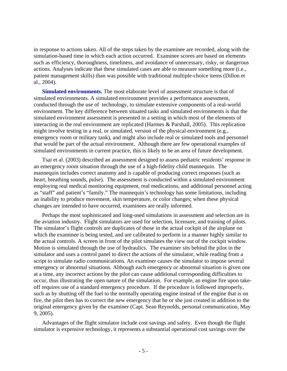in response to actions taken. All of the steps taken by the examinee are recorded, along with the simulation-based time in which each action occurred. Examinee scores are based on elements such as efficiency, thoroughness, timeliness, and avoidance of unnecessary, risky, or dangerous actions. Analyses indicate that these simulated cases are able to measure something more (i.e., patient management skills) than was possible with traditional multiple-choice items (Dillon et al., 2004).

**Simulated environments.** The most elaborate level of assessment structure is that of simulated environments. A simulated environment provides a performance assessment, conducted through the use of technology, to simulate extensive components of a real-world environment. The key difference between situated tasks and simulated environments is that the simulated environment assessment is presented in a setting in which most of the elements of interacting in the real environment are replicated (Harmes & Parshall, 2005). This replication might involve testing in a real, or simulated, version of the physical environment (e.g., emergency room or military tank), and might also include real or simulated tools and personnel that would be part of the actual environment. Although there are few operational examples of simulated environments in current practice, this is likely to be an area of future development.

Tsai et al. (2003) described an assessment designed to assess pediatric residents' response in an emergency room situation through the use of a high-fidelity child mannequin. The mannequin includes correct anatomy and is capable of producing correct responses (such as heart, breathing sounds, pulse). The assessment is conducted within a simulated environment employing real medical monitoring equipment, real medications, and additional personnel acting as "staff" and patient's "family." The mannequin's technology has some limitations, including an inability to produce movement, skin temperature, or color changes; when these physical changes are intended to have occurred, examinees are orally informed.

Perhaps the most sophisticated and long-used simulations in assessment and selection are in the aviation industry. Flight simulators are used for selection, licensure, and training of pilots. The simulator's flight controls are duplicates of those in the actual cockpit of the airplane on which the examinee is being tested, and are calibrated to perform in a manner highly similar to the actual controls. A screen in front of the pilot simulates the view out of the cockpit window. Motion is simulated through the use of hydraulics. The examiner sits behind the pilot in the simulator and uses a control panel to direct the actions of the simulator, while reading from a script to simulate radio communications. An examiner causes the simulator to impose several emergency or abnormal situations. Although each emergency or abnormal situation is given one at a time, any incorrect actions by the pilot can cause additional corresponding difficulties to occur, thus illustrating the open nature of the simulation. For example, an engine fire upon takeoff requires use of a standard emergency procedure. If the procedure is followed improperly, such as by shutting off the fuel to the normally operating engine instead of the engine that is on fire, the pilot then has to correct the new emergency that he or she just created in addition to the original emergency given by the examiner (Capt. Sean Reynolds, personal communication, May 9, 2005).

Advantages of the flight simulator include cost savings and safety. Even though the flight simulator is expensive technology, it represents a substantial operational cost savings over the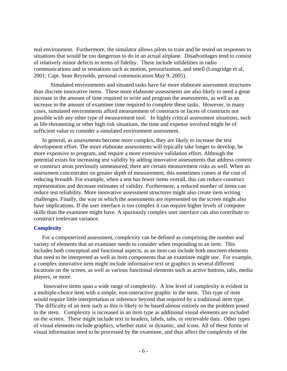real environment. Furthermore, the simulator allows pilots to train and be tested on responses to situations that would be too dangerous to do in an actual airplane. Disadvantages tend to consist of relatively minor defects in terms of fidelity. These include infidelities in radio communications and in sensations such as motion, pressurization, and smell (Longridge et al, 2001; Capt. Sean Reynolds, personal communication May 9, 2005).

 Simulated environments and situated tasks have far more elaborate assessment structures than discrete innovative items. These more elaborate assessments are also likely to need a great increase in the amount of time required to write and program the assessments, as well as an increase in the amount of examinee time required to complete these tasks. However, in many cases, simulated environments afford measurement of constructs or facets of constructs not possible with any other type of measurement tool. In highly critical assessment situations, such as life-threatening or other high risk situations, the time and expense involved might be of sufficient value to consider a simulated environment assessment.

In general, as assessments become more complex, they are likely to increase the test development effort. The more elaborate assessments will typically take longer to develop, be more expensive to program, and require a more extensive validation effort. Although the potential exists for increasing test validity by adding innovative assessments that address content or construct areas previously unmeasured, there are certain measurement risks as well. When an assessment concentrates on greater *depth* of measurement, this sometimes comes at the cost of reducing *breadth*. For example, when a test has fewer items overall, this can reduce construct representation and decrease estimates of validity. Furthermore, a reduced number of items can reduce test reliability. More innovative assessment structures might also create item writing challenges. Finally, the way in which the assessments are represented on the screen might also have implications. If the user interface is too complex it can require higher levels of computer skills than the examinee might have. A spuriously complex user interface can also contribute to construct irrelevant variance.

# **Complexity**

For a computerized assessment, complexity can be defined as comprising the number and variety of elements that an examinee needs to consider when responding to an item. This includes both conceptual and functional aspects, as an item can include both onscreen elements that need to be interpreted as well as item components that an examinee might use. For example, a complex innovative item might include informative text or graphics in several different locations on the screen, as well as various functional elements such as active buttons, tabs, media players, or more.

 Innovative items span a wide range of complexity. A low level of complexity is evident in a multiple-choice item with a simple, non-interactive graphic in the stem. This type of item would require little interpretation or inference beyond that required by a traditional item type. The difficulty of an item such as this is likely to be based almost entirely on the problem posed in the stem. Complexity is increased in an item type as additional visual elements are included on the screen. These might include text in headers, labels, tabs, or retrievable data. Other types of visual elements include graphics, whether static or dynamic, and icons. All of these forms of visual information need to be processed by the examinee, and thus affect the complexity of the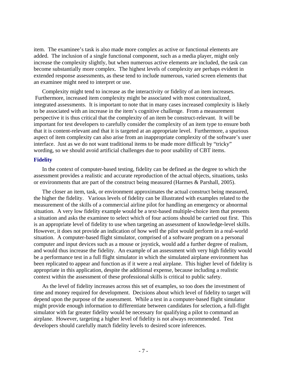item. The examinee's task is also made more complex as active or functional elements are added. The inclusion of a single functional component, such as a media player, might only increase the complexity slightly, but when numerous active elements are included, the task can become substantially more complex. The highest levels of complexity are perhaps evident in extended response assessments, as these tend to include numerous, varied screen elements that an examinee might need to interpret or use.

Complexity might tend to increase as the interactivity or fidelity of an item increases. Furthermore, increased item complexity might be associated with most contextualized, integrated assessments. It is important to note that in many cases increased complexity is likely to be associated with an increase in the item's cognitive challenge. From a measurement perspective it is thus critical that the complexity of an item be construct-relevant. It will be important for test developers to carefully consider the complexity of an item type to ensure both that it is content-relevant and that it is targeted at an appropriate level. Furthermore, a spurious aspect of item complexity can also arise from an inappropriate complexity of the software's user interface. Just as we do not want traditional items to be made more difficult by "tricky" wording, so we should avoid artificial challenges due to poor usability of CBT items.

#### **Fidelity**

In the context of computer-based testing, fidelity can be defined as the degree to which the assessment provides a realistic and accurate reproduction of the actual objects, situations, tasks or environments that are part of the construct being measured (Harmes & Parshall, 2005).

The closer an item, task, or environment approximates the actual construct being measured, the higher the fidelity. Various levels of fidelity can be illustrated with examples related to the measurement of the skills of a commercial airline pilot for handling an emergency or abnormal situation. A very low fidelity example would be a text-based multiple-choice item that presents a situation and asks the examinee to select which of four actions should be carried out first. This is an appropriate level of fidelity to use when targeting an assessment of knowledge-level skills. However, it does not provide an indication of how well the pilot would perform in a real-world situation. A computer-based flight simulator, comprised of a software program on a personal computer and input devices such as a mouse or joystick, would add a further degree of realism, and would thus increase the fidelity. An example of an assessment with very high fidelity would be a performance test in a full flight simulator in which the simulated airplane environment has been replicated to appear and function as if it were a real airplane. This higher level of fidelity is appropriate in this application, despite the additional expense, because including a realistic context within the assessment of these professional skills is critical to public safety.

As the level of fidelity increases across this set of examples, so too does the investment of time and money required for development. Decisions about which level of fidelity to target will depend upon the purpose of the assessment. While a test in a computer-based flight simulator might provide enough information to differentiate between candidates for selection, a full-flight simulator with far greater fidelity would be necessary for qualifying a pilot to command an airplane. However, targeting a higher level of fidelity is not always recommended. Test developers should carefully match fidelity levels to desired score inferences.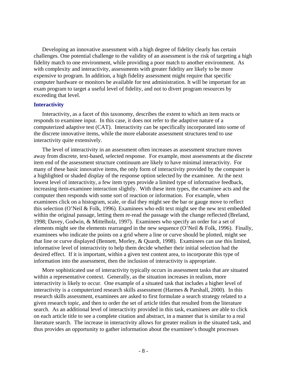Developing an innovative assessment with a high degree of fidelity clearly has certain challenges. One potential challenge to the validity of an assessment is the risk of targeting a high fidelity match to one environment, while providing a poor match to another environment. As with complexity and interactivity, assessments with greater fidelity are likely to be more expensive to program. In addition, a high fidelity assessment might require that specific computer hardware or monitors be available for test administration. It will be important for an exam program to target a useful level of fidelity, and not to divert program resources by exceeding that level.

#### **Interactivity**

Interactivity, as a facet of this taxonomy, describes the extent to which an item reacts or responds to examinee input. In this case, it does not refer to the adaptive nature of a computerized adaptive test (CAT). Interactivity can be specifically incorporated into some of the discrete innovative items, while the more elaborate assessment structures tend to use interactivity quite extensively.

The level of interactivity in an assessment often increases as assessment structure moves away from discrete, text-based, selected response. For example, most assessments at the discrete item end of the assessment structure continuum are likely to have minimal interactivity. For many of these basic innovative items, the only form of interactivity provided by the computer is a highlighted or shaded display of the response option selected by the examinee. At the next lowest level of interactivity, a few item types provide a limited type of informative feedback, increasing item-examinee interaction slightly. With these item types, the examinee acts and the computer then responds with some sort of reaction or information. For example, when examinees click on a histogram, scale, or dial they might see the bar or gauge move to reflect this selection (O'Neil & Folk, 1996). Examinees who edit text might see the new text embedded within the original passage, letting them re-read the passage with the change reflected (Breland, 1998; Davey, Godwin, & Mittelholz, 1997). Examinees who specify an order for a set of elements might see the elements rearranged in the new sequence (O'Neil & Folk, 1996). Finally, examinees who indicate the points on a grid where a line or curve should be plotted, might see that line or curve displayed (Bennett, Morley, & Quardt, 1998). Examinees can use this limited, informative level of interactivity to help them decide whether their initial selection had the desired effect. If it is important, within a given test content area, to incorporate this type of information into the assessment, then the inclusion of interactivity is appropriate.

More sophisticated use of interactivity typically occurs in assessment tasks that are situated within a representative context. Generally, as the situation increases in realism, more interactivity is likely to occur. One example of a situated task that includes a higher level of interactivity is a computerized research skills assessment (Harmes & Parshall, 2000). In this research skills assessment, examinees are asked to first formulate a search strategy related to a given research topic, and then to order the set of article titles that resulted from the literature search. As an additional level of interactivity provided in this task, examinees are able to click on each article title to see a complete citation and abstract, in a manner that is similar to a real literature search. The increase in interactivity allows for greater realism in the situated task, and thus provides an opportunity to gather information about the examinee's thought processes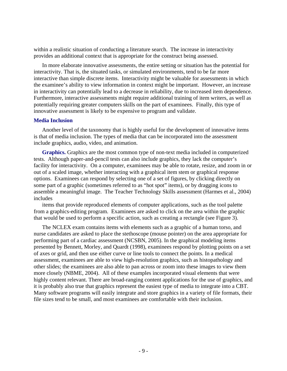within a realistic situation of conducting a literature search. The increase in interactivity provides an additional context that is appropriate for the construct being assessed.

In more elaborate innovative assessments, the entire setting or situation has the potential for interactivity. That is, the situated tasks, or simulated environments, tend to be far more interactive than simple discrete items. Interactivity might be valuable for assessments in which the examinee's ability to view information in context might be important. However, an increase in interactivity can potentially lead to a decrease in reliability, due to increased item dependence. Furthermore, interactive assessments might require additional training of item writers, as well as potentially requiring greater computers skills on the part of examinees. Finally, this type of innovative assessment is likely to be expensive to program and validate.

#### **Media Inclusion**

Another level of the taxonomy that is highly useful for the development of innovative items is that of media inclusion. The types of media that can be incorporated into the assessment include graphics, audio, video, and animation.

**Graphics.** Graphics are the most common type of non-text media included in computerized tests. Although paper-and-pencil tests can also include graphics, they lack the computer's facility for interactivity. On a computer, examinees may be able to rotate, resize, and zoom in or out of a scaled image, whether interacting with a graphical item stem or graphical response options. Examinees can respond by selecting one of a set of figures, by clicking directly on some part of a graphic (sometimes referred to as "hot spot" items), or by dragging icons to assemble a meaningful image. The Teacher Technology Skills assessment (Harmes et al., 2004) includes

items that provide reproduced elements of computer applications, such as the tool palette from a graphics-editing program. Examinees are asked to click on the area within the graphic that would be used to perform a specific action, such as creating a rectangle (see Figure 3).

The NCLEX exam contains items with elements such as a graphic of a human torso, and nurse candidates are asked to place the stethoscope (mouse pointer) on the area appropriate for performing part of a cardiac assessment (NCSBN, 2005). In the graphical modeling items presented by Bennett, Morley, and Quardt (1998), examinees respond by plotting points on a set of axes or grid, and then use either curve or line tools to connect the points. In a medical assessment, examinees are able to view high-resolution graphics, such as histopathology and other slides; the examinees are also able to pan across or zoom into these images to view them more closely (NBME, 2004). All of these examples incorporated visual elements that were highly content relevant. There are broad-ranging content applications for the use of graphics, and it is probably also true that graphics represent the easiest type of media to integrate into a CBT. Many software programs will easily integrate and store graphics in a variety of file formats, their file sizes tend to be small, and most examinees are comfortable with their inclusion.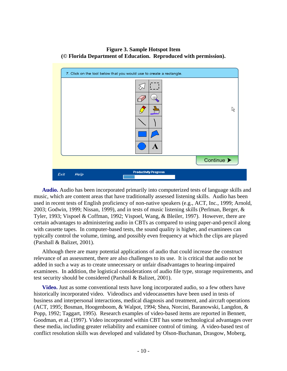# **Figure 3. Sample Hotspot Item (© Florida Department of Education. Reproduced with permission).**



**Audio.** Audio has been incorporated primarily into computerized tests of language skills and music, which are content areas that have traditionally assessed listening skills. Audio has been used in recent tests of English proficiency of non-native speakers (e.g., ACT, Inc., 1999; Arnold, 2003; Godwin, 1999; Nissan, 1999), and in tests of music listening skills (Perlman, Berger, & Tyler, 1993; Vispoel & Coffman, 1992; Vispoel, Wang, & Bleiler, 1997). However, there are certain advantages to administering audio in CBTs as compared to using paper-and-pencil along with cassette tapes. In computer-based tests, the sound quality is higher, and examinees can typically control the volume, timing, and possibly even frequency at which the clips are played (Parshall & Balizet, 2001).

Although there are many potential applications of audio that could increase the construct relevance of an assessment, there are also challenges to its use. It is critical that audio not be added in such a way as to create unnecessary or unfair disadvantages to hearing-impaired examinees. In addition, the logistical considerations of audio file type, storage requirements, and test security should be considered (Parshall & Balizet, 2001).

**Video.** Just as some conventional tests have long incorporated audio, so a few others have historically incorporated video. Videodiscs and videocassettes have been used in tests of business and interpersonal interactions, medical diagnosis and treatment, and aircraft operations (ACT, 1995; Bosman, Hoogenboom, & Walpot, 1994; Shea, Norcini, Baranowski, Langdon, & Popp, 1992; Taggart, 1995). Research examples of video-based items are reported in Bennett, Goodman, et al. (1997). Video incorporated within CBT has some technological advantages over these media, including greater reliability and examinee control of timing. A video-based test of conflict resolution skills was developed and validated by Olson-Buchanan, Drasgow, Moberg,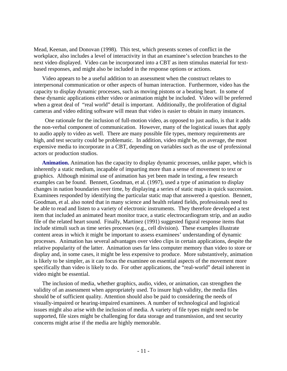Mead, Keenan, and Donovan (1998). This test, which presents scenes of conflict in the workplace, also includes a level of interactivity in that an examinee's selection branches to the next video displayed. Video can be incorporated into a CBT as item stimulus material for textbased responses, and might also be included in the response options or actions.

Video appears to be a useful addition to an assessment when the construct relates to interpersonal communication or other aspects of human interaction. Furthermore, video has the capacity to display dynamic processes, such as moving pistons or a beating heart. In some of these dynamic applications either video or animation might be included. Video will be preferred when a great deal of "real world" detail is important. Additionally, the proliferation of digital cameras and video editing software will mean that video is easier to obtain in many instances.

 One rationale for the inclusion of full-motion video, as opposed to just audio, is that it adds the non-verbal component of communication. However, many of the logistical issues that apply to audio apply to video as well. There are many possible file types, memory requirements are high, and test security could be problematic. In addition, video might be, on average, the most expensive media to incorporate in a CBT, depending on variables such as the use of professional actors or production studios.

**Animation.** Animation has the capacity to display dynamic processes, unlike paper, which is inherently a static medium, incapable of imparting more than a sense of movement to text or graphics. Although minimal use of animation has yet been made in testing, a few research examples can be found. Bennett, Goodman, et al. (1997), used a type of animation to display changes in nation boundaries over time, by displaying a series of static maps in quick succession. Examinees responded by identifying the particular static map that answered a question. Bennett, Goodman, et al. also noted that in many science and health related fields, professionals need to be able to read and listen to a variety of electronic instruments. They therefore developed a test item that included an animated heart monitor trace, a static electrocardiogram strip, and an audio file of the related heart sound. Finally, Martinez (1991) suggested figural response items that include stimuli such as time series processes (e.g., cell division). These examples illustrate content areas in which it might be important to assess examinees' understanding of dynamic processes. Animation has several advantages over video clips in certain applications, despite the relative popularity of the latter. Animation uses far less computer memory than video to store or display and, in some cases, it might be less expensive to produce. More substantively, animation is likely to be simpler, as it can focus the examinee on essential aspects of the movement more specifically than video is likely to do. For other applications, the "real-world" detail inherent in video might be essential.

The inclusion of media, whether graphics, audio, video, or animation, can strengthen the validity of an assessment when appropriately used. To insure high validity, the media files should be of sufficient quality. Attention should also be paid to considering the needs of visually-impaired or hearing-impaired examinees. A number of technological and logistical issues might also arise with the inclusion of media. A variety of file types might need to be supported, file sizes might be challenging for data storage and transmission, and test security concerns might arise if the media are highly memorable.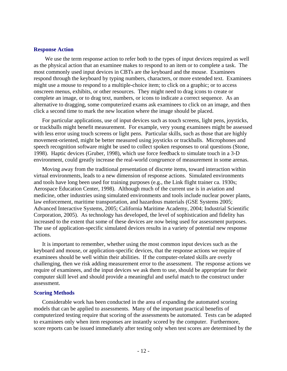#### **Response Action**

 We use the term response action to refer both to the types of input devices required as well as the physical action that an examinee makes to respond to an item or to complete a task. The most commonly used input devices in CBTs are the keyboard and the mouse. Examinees respond through the keyboard by typing numbers, characters, or more extended text. Examinees might use a mouse to respond to a multiple-choice item; to click on a graphic; or to access onscreen menus, exhibits, or other resources. They might need to drag icons to create or complete an image, or to drag text, numbers, or icons to indicate a correct sequence. As an alternative to dragging, some computerized exams ask examinees to click on an image, and then click a second time to mark the new location where the image should be placed.

For particular applications, use of input devices such as touch screens, light pens, joysticks, or trackballs might benefit measurement. For example, very young examinees might be assessed with less error using touch screens or light pens. Particular skills, such as those that are highly movement-oriented, might be better measured using joysticks or trackballs. Microphones and speech recognition software might be used to collect spoken responses to oral questions (Stone, 1998). Haptic devices (Gruber, 1998), which use force feedback to simulate touch in a 3-D environment, could greatly increase the real-world congruence of measurement in some arenas.

Moving away from the traditional presentation of discrete items, toward interaction within virtual environments, leads to a new dimension of response actions. Simulated environments and tools have long been used for training purposes (e.g., the Link flight trainer ca. 1930s; Aerospace Education Center, 1998). Although much of the current use is in aviation and medicine, other industries using simulated environments and tools include nuclear power plants, law enforcement, maritime transportation, and hazardous materials (GSE Systems 2005; Advanced Interactive Systems, 2005; California Maritime Academy, 2004; Industrial Scientific Corporation, 2005). As technology has developed, the level of sophistication and fidelity has increased to the extent that some of these devices are now being used for assessment purposes. The use of application-specific simulated devices results in a variety of potential new response actions.

It is important to remember, whether using the most common input devices such as the keyboard and mouse, or application-specific devices, that the response actions we require of examinees should be well within their abilities. If the computer-related skills are overly challenging, then we risk adding measurement error to the assessment. The response actions we require of examinees, and the input devices we ask them to use, should be appropriate for their computer skill level and should provide a meaningful and useful match to the construct under assessment.

#### **Scoring Methods**

Considerable work has been conducted in the area of expanding the automated scoring models that can be applied to assessments. Many of the important practical benefits of computerized testing require that scoring of the assessments be automated. Tests can be adapted to examinees only when item responses are instantly scored by the computer. Furthermore, score reports can be issued immediately after testing only when test scores are determined by the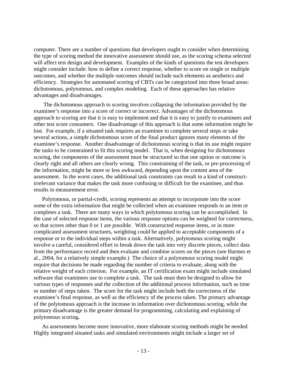computer. There are a number of questions that developers ought to consider when determining the type of scoring method the innovative assessment should use, as the scoring schema selected will affect test design and development. Examples of the kinds of questions the test developers might consider include: how to define a correct response, whether to score on single or multiple outcomes, and whether the multiple outcomes should include such elements as aesthetics and efficiency. Strategies for automated scoring of CBTs can be categorized into three broad areas: dichotomous, polytomous, and complex modeling. Each of these approaches has relative advantages and disadvantages.

 The dichotomous approach to scoring involves collapsing the information provided by the examinee's response into a score of correct or incorrect. Advantages of the dichotomous approach to scoring are that it is easy to implement and that it is easy to justify to examinees and other test score consumers. One disadvantage of this approach is that some information might be lost. For example, if a situated task requires an examinee to complete several steps or take several actions, a simple dichotomous score of the final product ignores many elements of the examinee's response. Another disadvantage of dichotomous scoring is that its use might require the tasks to be constrained to fit this scoring model. That is, when designing for dichotomous scoring, the components of the assessment must be structured so that one option or outcome is clearly right and all others are clearly wrong. This constraining of the task, or pre-processing of the information, might be more or less awkward, depending upon the content area of the assessment. In the worst cases, the additional task constraints can result in a kind of constructirrelevant variance that makes the task more confusing or difficult for the examinee, and thus results in measurement error.

Polytomous, or partial-credit, scoring represents an attempt to incorporate into the score some of the extra information that might be collected when an examinee responds to an item or completes a task. There are many ways in which polytomous scoring can be accomplished. In the case of selected response items, the various response options can be weighted for correctness, so that scores other than 0 or 1 are possible. With constructed response items, or in more complicated assessment structures, weighting could be applied to acceptable components of a response or to the individual steps within a task. Alternatively, polytomous scoring might involve a careful, considered effort to break down the task into very discrete pieces, collect data from the performance record and then evaluate and combine scores on the pieces (see Harmes et al., 2004, for a relatively simple example.) The choice of a polytomous scoring model might require that decisions be made regarding the number of criteria to evaluate, along with the relative weight of each criterion. For example, an IT certification exam might include simulated software that examinees use to complete a task. The task must then be designed to allow for various types of responses and the collection of the additional process information, such as time or number of steps taken. The score for the task might include both the correctness of the examinee's final response, as well as the efficiency of the process taken. The primary advantage of the polytomous approach is the increase in information over dichotomous scoring, while the primary disadvantage is the greater demand for programming, calculating and explaining of polytomous scoring**.** 

As assessments become more innovative, more elaborate scoring methods might be needed. Highly integrated situated tasks and simulated environments might include a larger set of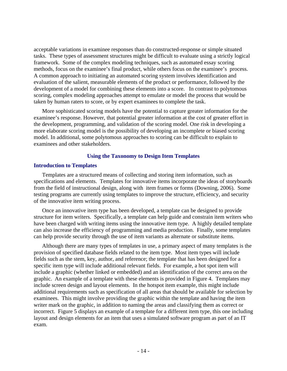acceptable variations in examinee responses than do constructed-response or simple situated tasks. These types of assessment structures might be difficult to evaluate using a strictly logical framework. Some of the complex modeling techniques, such as automated essay scoring methods, focus on the examinee's final product, while others focus on the examinee's process. A common approach to initiating an automated scoring system involves identification and evaluation of the salient, measurable elements of the product or performance, followed by the development of a model for combining these elements into a score. In contrast to polytomous scoring, complex modeling approaches attempt to emulate or model the process that would be taken by human raters to score, or by expert examinees to complete the task.

More sophisticated scoring models have the potential to capture greater information for the examinee's response. However, that potential greater information at the cost of greater effort in the development, programming, and validation of the scoring model. One risk in developing a more elaborate scoring model is the possibility of developing an incomplete or biased scoring model. In additional, some polytomous approaches to scoring can be difficult to explain to examinees and other stakeholders.

#### **Using the Taxonomy to Design Item Templates**

#### **Introduction to Templates**

Templates are a structured means of collecting and storing item information, such as specifications and elements. Templates for innovative items incorporate the ideas of storyboards from the field of instructional design, along with item frames or forms (Downing, 2006). Some testing programs are currently using templates to improve the structure, efficiency, and security of the innovative item writing process.

Once an innovative item type has been developed, a template can be designed to provide structure for item writers. Specifically, a template can help guide and constrain item writers who have been charged with writing items using the innovative item type. A highly detailed template can also increase the efficiency of programming and media production. Finally, some templates can help provide security through the use of item variants as alternate or substitute items.

Although there are many types of templates in use, a primary aspect of many templates is the provision of specified database fields related to the item type. Most item types will include fields such as the stem, key, author, and reference; the template that has been designed for a specific item type will include additional relevant fields. For example, a hot spot item will include a graphic (whether linked or embedded) and an identification of the correct area on the graphic. An example of a template with these elements is provided in Figure 4. Templates may include screen design and layout elements. In the hotspot item example, this might include additional requirements such as specification of all areas that should be available for selection by examinees. This might involve providing the graphic within the template and having the item writer mark on the graphic, in addition to naming the areas and classifying them as correct or incorrect. Figure 5 displays an example of a template for a different item type, this one including layout and design elements for an item that uses a simulated software program as part of an IT exam.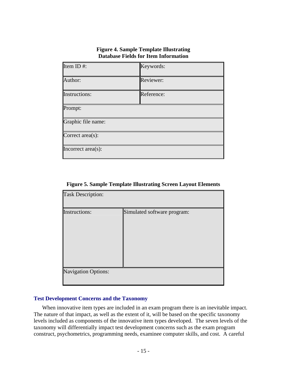# **Figure 4. Sample Template Illustrating Database Fields for Item Information**

| Item ID#:            | Keywords:  |
|----------------------|------------|
| Author:              | Reviewer:  |
| <b>Instructions:</b> | Reference: |
| Prompt:              |            |
| Graphic file name:   |            |
| Correct area(s):     |            |
| Incorrect area(s):   |            |

**Figure 5. Sample Template Illustrating Screen Layout Elements** 

| <b>Task Description:</b>   |                             |  |  |  |  |
|----------------------------|-----------------------------|--|--|--|--|
| <b>Instructions:</b>       | Simulated software program: |  |  |  |  |
|                            |                             |  |  |  |  |
|                            |                             |  |  |  |  |
|                            |                             |  |  |  |  |
|                            |                             |  |  |  |  |
|                            |                             |  |  |  |  |
| <b>Navigation Options:</b> |                             |  |  |  |  |
|                            |                             |  |  |  |  |

# **Test Development Concerns and the Taxonomy**

When innovative item types are included in an exam program there is an inevitable impact. The nature of that impact, as well as the extent of it, will be based on the specific taxonomy levels included as components of the innovative item types developed. The seven levels of the taxonomy will differentially impact test development concerns such as the exam program construct, psychometrics, programming needs, examinee computer skills, and cost. A careful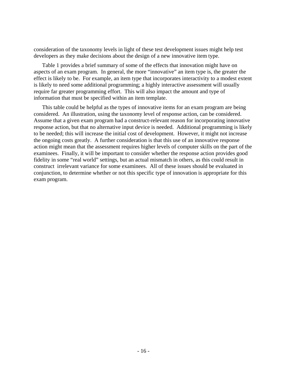consideration of the taxonomy levels in light of these test development issues might help test developers as they make decisions about the design of a new innovative item type.

Table 1 provides a brief summary of some of the effects that innovation might have on aspects of an exam program. In general, the more "innovative" an item type is, the greater the effect is likely to be. For example, an item type that incorporates interactivity to a modest extent is likely to need some additional programming; a highly interactive assessment will usually require far greater programming effort. This will also impact the amount and type of information that must be specified within an item template.

This table could be helpful as the types of innovative items for an exam program are being considered. An illustration, using the taxonomy level of response action, can be considered. Assume that a given exam program had a construct-relevant reason for incorporating innovative response action, but that no alternative input device is needed. Additional programming is likely to be needed; this will increase the initial cost of development. However, it might not increase the ongoing costs greatly. A further consideration is that this use of an innovative response action might mean that the assessment requires higher levels of computer skills on the part of the examinees. Finally, it will be important to consider whether the response action provides good fidelity in some "real world" settings, but an actual mismatch in others, as this could result in construct irrelevant variance for some examinees. All of these issues should be evaluated in conjunction, to determine whether or not this specific type of innovation is appropriate for this exam program.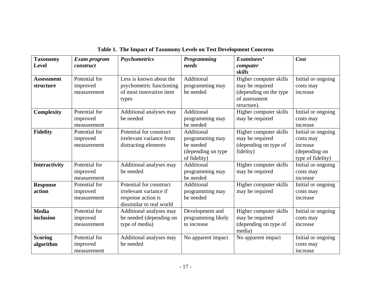| <b>Taxonomy</b><br><b>Level</b> | Exam program<br>construct                | <b>Psychometrics</b>                                                                                | <b>Programming</b><br>needs                                                      | Examinees'<br>computer<br>skills                                                                    | Cost                                                                              |
|---------------------------------|------------------------------------------|-----------------------------------------------------------------------------------------------------|----------------------------------------------------------------------------------|-----------------------------------------------------------------------------------------------------|-----------------------------------------------------------------------------------|
| <b>Assessment</b><br>structure  | Potential for<br>improved<br>measurement | Less is known about the<br>psychometric functioning<br>of most innovative item<br>types             | Additional<br>programming may<br>be needed                                       | Higher computer skills<br>may be required<br>(depending on the type<br>of assessment<br>structure). | Initial or ongoing<br>costs may<br>increase                                       |
| <b>Complexity</b>               | Potential for<br>improved<br>measurement | Additional analyses may<br>be needed                                                                | Additional<br>programming may<br>be needed                                       | Higher computer skills<br>may be required                                                           | Initial or ongoing<br>costs may<br>increase                                       |
| <b>Fidelity</b>                 | Potential for<br>improved<br>measurement | Potential for construct<br>irrelevant variance from<br>distracting elements                         | Additional<br>programming may<br>be needed<br>(depending on type<br>of fidelity) | Higher computer skills<br>may be required<br>(depending on type of<br>fidelity)                     | Initial or ongoing<br>costs may<br>increase<br>(depending on<br>type of fidelity) |
| <b>Interactivity</b>            | Potential for<br>improved<br>measurement | Additional analyses may<br>be needed                                                                | Additional<br>programming may<br>be needed                                       | Higher computer skills<br>may be required                                                           | Initial or ongoing<br>costs may<br>increase                                       |
| <b>Response</b><br>action       | Potential for<br>improved<br>measurement | Potential for construct<br>irrelevant variance if<br>response action is<br>dissimilar to real world | Additional<br>programming may<br>be needed                                       | Higher computer skills<br>may be required                                                           | Initial or ongoing<br>costs may<br>increase                                       |
| <b>Media</b><br>inclusion       | Potential for<br>improved<br>measurement | Additional analyses may<br>be needed (depending on<br>type of media)                                | Development and<br>programming likely<br>to increase                             | Higher computer skills<br>may be required<br>(depending on type of<br>media)                        | Initial or ongoing<br>costs may<br>increase                                       |
| <b>Scoring</b><br>algorithm     | Potential for<br>improved<br>measurement | Additional analyses may<br>be needed                                                                | No apparent impact                                                               | No apparent impact                                                                                  | Initial or ongoing<br>costs may<br>increase                                       |

**Table 1. The Impact of Taxonomy Levels on Test Development Concerns**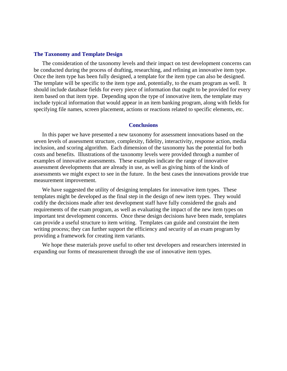#### **The Taxonomy and Template Design**

The consideration of the taxonomy levels and their impact on test development concerns can be conducted during the process of drafting, researching, and refining an innovative item type. Once the item type has been fully designed, a template for the item type can also be designed. The template will be specific to the item type and, potentially, to the exam program as well. It should include database fields for every piece of information that ought to be provided for every item based on that item type. Depending upon the type of innovative item, the template may include typical information that would appear in an item banking program, along with fields for specifying file names, screen placement, actions or reactions related to specific elements, etc.

#### **Conclusions**

In this paper we have presented a new taxonomy for assessment innovations based on the seven levels of assessment structure, complexity, fidelity, interactivity, response action, media inclusion, and scoring algorithm. Each dimension of the taxonomy has the potential for both costs and benefits. Illustrations of the taxonomy levels were provided through a number of examples of innovative assessments. These examples indicate the range of innovative assessment developments that are already in use, as well as giving hints of the kinds of assessments we might expect to see in the future. In the best cases the innovations provide true measurement improvement.

We have suggested the utility of designing templates for innovative item types. These templates might be developed as the final step in the design of new item types. They would codify the decisions made after test development staff have fully considered the goals and requirements of the exam program, as well as evaluating the impact of the new item types on important test development concerns. Once these design decisions have been made, templates can provide a useful structure to item writing. Templates can guide and constraint the item writing process; they can further support the efficiency and security of an exam program by providing a framework for creating item variants.

We hope these materials prove useful to other test developers and researchers interested in expanding our forms of measurement through the use of innovative item types.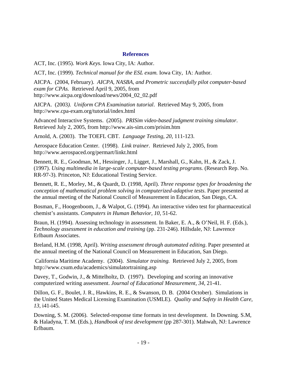#### **References**

ACT, Inc. (1995). *Work Keys.* Iowa City, IA: Author.

ACT, Inc. (1999). *Technical manual for the ESL exam.* Iowa City, IA: Author.

AICPA. (2004, February). *AICPA, NASBA, and Prometric successfully pilot computer-based exam for CPAs.* Retrieved April 9, 2005, from http://www.aicpa.org/download/news/2004\_02\_02.pdf

AICPA. (2003*). Uniform CPA Examination tutorial*. Retrieved May 9, 2005, from http://www.cpa-exam.org/tutorial/index.html

Advanced Interactive Systems. (2005). *PRISim video-based judgment training simulator*. Retrieved July 2, 2005, from http://www.ais-sim.com/prisim.htm

Arnold, A. (2003). The TOEFL CBT. *Language Testing, 20*, 111-123.

Aerospace Education Center. (1998). *Link trainer*. Retrieved July 2, 2005, from http://www.aerospaced.org/permart/linkt.html

Bennett, R. E., Goodman, M., Hessinger, J., Ligget, J., Marshall, G., Kahn, H., & Zack, J. (1997). *Using multimedia in large-scale computer-based testing programs.* (Research Rep. No. RR-97-3). Princeton, NJ: Educational Testing Service.

Bennett, R. E., Morley, M., & Quardt, D. (1998, April). *Three response types for broadening the conception of mathematical problem solving in computerized-adaptive tests*. Paper presented at the annual meeting of the National Council of Measurement in Education, San Diego, CA.

Bosman, F., Hoogenboom, J., & Walpot, G. (1994). An interactive video test for pharmaceutical chemist's assistants. *Computers in Human Behavior, 10*, 51-62.

Braun, H. (1994). Assessing technology in assessment. In Baker, E. A., & O'Neil, H. F. (Eds.), *Technology assessment in education and training* (pp. 231-246). Hillsdale, NJ: Lawrence Erlbaum Associates.

Breland, H.M. (1998, April). *Writing assessment through automated editing*. Paper presented at the annual meeting of the National Council on Measurement in Education, San Diego.

 California Maritime Academy. (2004). *Simulator training.* Retrieved July 2, 2005, from http://www.csum.edu/academics/simulatortraining.asp

Davey, T., Godwin, J., & Mittelholtz, D. (1997). Developing and scoring an innovative computerized writing assessment. *Journal of Educational Measurement, 34*, 21-41.

Dillon, G. F., Boulet, J. R., Hawkins, R. E., & Swanson, D. B. (2004 October). Simulations in the United States Medical Licensing Examination (USMLE). *Quality and Safety in Health Care, 13*, i41-i45.

Downing, S. M. (2006). Selected-response time formats in test development. In Downing. S.M, & Haladyna, T. M. (Eds.), *Handbook of test development* (pp 287-301). Mahwah, NJ: Lawrence Erlbaum.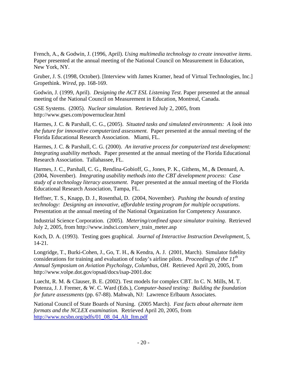French, A., & Godwin, J. (1996, April). *Using multimedia technology to create innovative items*. Paper presented at the annual meeting of the National Council on Measurement in Education, New York, NY.

Gruber, J. S. (1998, October). [Interview with James Kramer, head of Virtual Technologies, Inc.] Gropethink. *Wired*, pp. 168-169.

Godwin, J. (1999, April). *Designing the ACT ESL Listening Test*. Paper presented at the annual meeting of the National Council on Measurement in Education, Montreal, Canada.

GSE Systems. (2005). *Nuclear simulation*. Retrieved July 2, 2005, from http://www.gses.com/powernuclear.html

Harmes, J. C. & Parshall, C. G., (2005). *Situated tasks and simulated environments: A look into the future for innovative computerized assessment.* Paper presented at the annual meeting of the Florida Educational Research Association. Miami, FL.

Harmes, J. C. & Parshall, C. G. (2000). *An iterative process for computerized test development: Integrating usability methods.* Paper presented at the annual meeting of the Florida Educational Research Association. Tallahassee, FL.

Harmes, J. C., Parshall, C. G., Rendina-Gobioff, G., Jones, P. K., Githens, M., & Dennard, A. (2004, November). *Integrating usability methods into the CBT development process: Case study of a technology literacy assessment*. Paper presented at the annual meeting of the Florida Educational Research Association, Tampa, FL.

Heffner, T. S., Knapp, D. J., Rosenthal, D. (2004, November). *Pushing the bounds of testing technology: Designing an innovative, affordable testing program for multiple occupations*. Presentation at the annual meeting of the National Organization for Competency Assurance.

Industrial Science Corporation. (2005). *Metering/confined space simulator training*. Retrieved July 2, 2005, from http://www.indsci.com/serv\_train\_meter.asp

Koch, D. A. (1993). Testing goes graphical. *Journal of Interactive Instruction Development*, 5, 14-21.

Longridge, T., Burki-Cohen, J., Go, T. H., & Kendra, A. J. (2001, March). Simulator fidelity considerations for training and evaluation of today's airline pilots. *Proceedings of the 11th Annual Symposium on Aviation Psychology, Columbus, OH.* Retrieved April 20, 2005, from http://www.volpe.dot.gov/opsad/docs/isap-2001.doc

Luecht, R. M. & Clauser, B. E. (2002). Test models for complex CBT. In C. N. Mills, M. T. Potenza, J. J. Fremer, & W. C. Ward (Eds.), *Computer-based testing: Building the foundation for future assessments* (pp. 67-88). Mahwah, NJ: Lawrence Erlbaum Associates.

National Council of State Boards of Nursing. (2005 March). *Fast facts about alternate item formats and the NCLEX examination.* Retrieved April 20, 2005, from [http://www.ncsbn.org/pdfs/01\\_08\\_04\\_Alt\\_Itm.pdf](http://www.ncsbn.org/pdfs/01_08_04_Alt_Itm.pdf)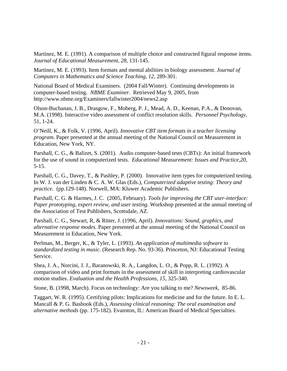Martinez, M. E. (1991). A comparison of multiple choice and constructed figural response items. *Journal of Educational Measurement*, *28*, 131-145.

Martinez, M. E. (1993). Item formats and mental abilities in biology assessment. *Journal of Computers in Mathematics and Science Teaching*, *12,* 289-301.

National Board of Medical Examiners. (2004 Fall/Winter). Continuing developments in computer-based testing. *NBME Examiner*. Retrieved May 9, 2005, from http://www.nbme.org/Examiners/fallwinter2004/news2.asp

Olson-Buchanan, J. B., Drasgow, F., Moberg, P. J., Mead, A. D., Keenan, P.A., & Donovan, M.A. (1998). Interactive video assessment of conflict resolution skills. *Personnel Psychology*, 51, 1-24.

O'Neill, K., & Folk, V. (1996, April). *Innovative CBT item formats in a teacher licensing program*. Paper presented at the annual meeting of the National Council on Measurement in Education, New York, NY.

Parshall, C. G., & Balizet, S. (2001). Audio computer-based tests (CBTs): An initial framework for the use of sound in computerized tests. *Educational Measurement: Issues and Practice,20,*  5-15.

Parshall, C. G., Davey, T., & Pashley, P. (2000). Innovative item types for computerized testing. In W. J. van der Linden & C. A. W. Glas (Eds.), *Computerized adaptive testing: Theory and practice.* (pp.129-148). Norwell, MA: Kluwer Academic Publishers.

Parshall, C. G. & Harmes, J. C. (2005, February). *Tools for improving the CBT user-interface: Paper prototyping, expert review, and user testing.* Workshop presented at the annual meeting of the Association of Test Publishers, Scottsdale, AZ.

Parshall, C. G., Stewart, R, & Ritter, J. (1996, April). *Innovations: Sound, graphics, and alternative response modes.* Paper presented at the annual meeting of the National Council on Measurement in Education, New York.

Perlman, M., Berger, K., & Tyler, L. (1993). *An application of multimedia software to standardized testing in music.* (Research Rep. No. 93-36). Princeton, NJ: Educational Testing **Service** 

Shea, J. A., Norcini, J. J., Baranowski, R. A., Langdon, L. O., & Popp, R. L. (1992). A comparison of video and print formats in the assessment of skill in interpreting cardiovascular motion studies. *Evaluation and the Health Professions, 15,* 325-340.

Stone, B. (1998, March). Focus on technology: Are you talking to me? *Newsweek,* 85-86.

Taggart, W. R. (1995). Certifying pilots: Implications for medicine and for the future. In E. L. Mancall & P. G. Bashook (Eds.), *Assessing clinical reasoning: The oral examination and alternative methods* (pp. 175-182). Evanston, IL: American Board of Medical Specialties.